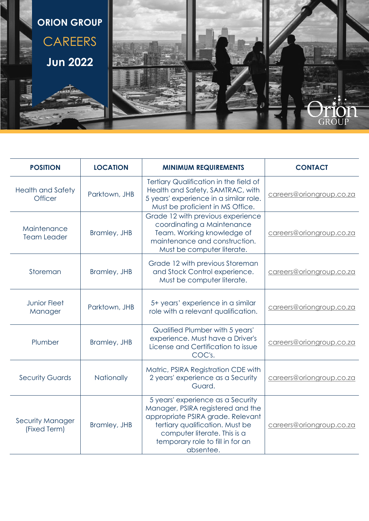

| <b>POSITION</b>                     | <b>LOCATION</b> | <b>MINIMUM REQUIREMENTS</b>                                                                                                                                                                                                     | <b>CONTACT</b>           |
|-------------------------------------|-----------------|---------------------------------------------------------------------------------------------------------------------------------------------------------------------------------------------------------------------------------|--------------------------|
| <b>Health and Safety</b><br>Officer | Parktown, JHB   | Tertiary Qualification in the field of<br>Health and Safety, SAMTRAC, with<br>5 years' experience in a similar role.<br>Must be proficient in MS Office.                                                                        | careers@oriongroup.co.za |
| Maintenance<br><b>Team Leader</b>   | Bramley, JHB    | Grade 12 with previous experience<br>coordinating a Maintenance<br>Team. Working knowledge of<br>maintenance and construction.<br>Must be computer literate.                                                                    | careers@oriongroup.co.za |
| Storeman                            | Bramley, JHB    | Grade 12 with previous Storeman<br>and Stock Control experience.<br>Must be computer literate.                                                                                                                                  | careers@oriongroup.co.za |
| Junior Fleet<br>Manager             | Parktown, JHB   | 5+ years' experience in a similar<br>role with a relevant qualification.                                                                                                                                                        | careers@oriongroup.co.za |
| Plumber                             | Bramley, JHB    | Qualified Plumber with 5 years'<br>experience. Must have a Driver's<br>License and Certification to issue<br>COC's.                                                                                                             | careers@oriongroup.co.za |
| <b>Security Guards</b>              | Nationally      | Matric, PSIRA Registration CDE with<br>2 years' experience as a Security<br>Guard.                                                                                                                                              | careers@oriongroup.co.za |
| Security Manager<br>(Fixed Term)    | Bramley, JHB    | 5 years' experience as a Security<br>Manager, PSIRA registered and the<br>appropriate PSIRA grade. Relevant<br>tertiary qualification. Must be<br>computer literate. This is a<br>temporary role to fill in for an<br>absentee. | careers@oriongroup.co.za |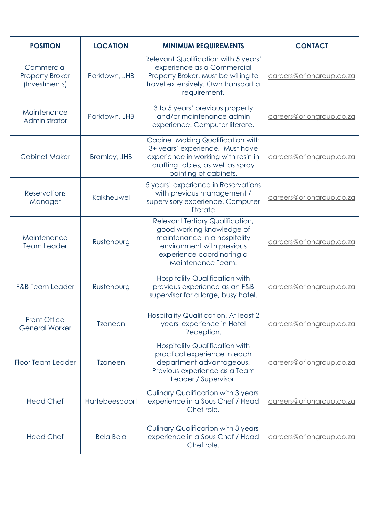| <b>POSITION</b>                                       | <b>LOCATION</b>  | <b>MINIMUM REQUIREMENTS</b>                                                                                                                                                      | <b>CONTACT</b>           |
|-------------------------------------------------------|------------------|----------------------------------------------------------------------------------------------------------------------------------------------------------------------------------|--------------------------|
| Commercial<br><b>Property Broker</b><br>(Investments) | Parktown, JHB    | Relevant Qualification with 5 years'<br>experience as a Commercial<br>Property Broker. Must be willing to<br>travel extensively. Own transport a<br>requirement.                 | careers@oriongroup.co.za |
| Maintenance<br>Administrator                          | Parktown, JHB    | 3 to 5 years' previous property<br>and/or maintenance admin<br>experience. Computer literate.                                                                                    | careers@oriongroup.co.za |
| <b>Cabinet Maker</b>                                  | Bramley, JHB     | <b>Cabinet Making Qualification with</b><br>3+ years' experience. Must have<br>experience in working with resin in<br>crafting tables, as well as spray<br>painting of cabinets. | careers@oriongroup.co.za |
| Reservations<br>Manager                               | Kalkheuwel       | 5 years' experience in Reservations<br>with previous management /<br>supervisory experience. Computer<br>literate                                                                | careers@oriongroup.co.za |
| Maintenance<br><b>Team Leader</b>                     | Rustenburg       | Relevant Tertiary Qualification,<br>good working knowledge of<br>maintenance in a hospitality<br>environment with previous<br>experience coordinating a<br>Maintenance Team.     | careers@oriongroup.co.za |
| <b>F&amp;B Team Leader</b>                            | Rustenburg       | <b>Hospitality Qualification with</b><br>previous experience as an F&B<br>supervisor for a large, busy hotel.                                                                    | careers@oriongroup.co.za |
| <b>Front Office</b><br><b>General Worker</b>          | <b>Tzaneen</b>   | <b>Hospitality Qualification. At least 2</b><br>years' experience in Hotel<br>Reception.                                                                                         | careers@oriongroup.co.za |
| Floor Team Leader                                     | <b>Tzaneen</b>   | <b>Hospitality Qualification with</b><br>practical experience in each<br>department advantageous.<br>Previous experience as a Team<br>Leader / Supervisor.                       | careers@oriongroup.co.za |
| <b>Head Chef</b>                                      | Hartebeespoort   | <b>Culinary Qualification with 3 years'</b><br>experience in a Sous Chef / Head<br>Chef role.                                                                                    | careers@oriongroup.co.za |
| <b>Head Chef</b>                                      | <b>Bela Bela</b> | <b>Culinary Qualification with 3 years'</b><br>experience in a Sous Chef / Head<br>Chef role.                                                                                    | careers@oriongroup.co.za |